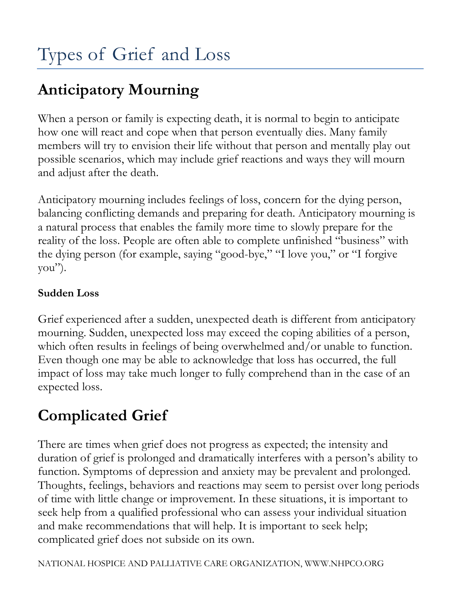# **Anticipatory Mourning**

When a person or family is expecting death, it is normal to begin to anticipate how one will react and cope when that person eventually dies. Many family members will try to envision their life without that person and mentally play out possible scenarios, which may include grief reactions and ways they will mourn and adjust after the death.

Anticipatory mourning includes feelings of loss, concern for the dying person, balancing conflicting demands and preparing for death. Anticipatory mourning is a natural process that enables the family more time to slowly prepare for the reality of the loss. People are often able to complete unfinished "business" with the dying person (for example, saying "good-bye," "I love you," or "I forgive you").

#### **Sudden Loss**

Grief experienced after a sudden, unexpected death is different from anticipatory mourning. Sudden, unexpected loss may exceed the coping abilities of a person, which often results in feelings of being overwhelmed and/or unable to function. Even though one may be able to acknowledge that loss has occurred, the full impact of loss may take much longer to fully comprehend than in the case of an expected loss.

## **Complicated Grief**

There are times when grief does not progress as expected; the intensity and duration of grief is prolonged and dramatically interferes with a person's ability to function. Symptoms of depression and anxiety may be prevalent and prolonged. Thoughts, feelings, behaviors and reactions may seem to persist over long periods of time with little change or improvement. In these situations, it is important to seek help from a qualified professional who can assess your individual situation and make recommendations that will help. It is important to seek help; complicated grief does not subside on its own.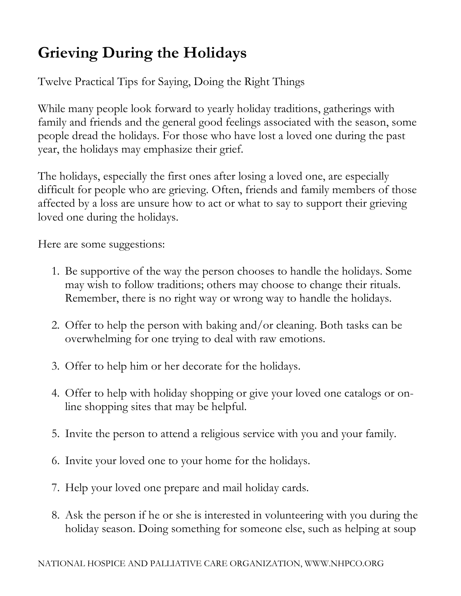## **Grieving During the Holidays**

Twelve Practical Tips for Saying, Doing the Right Things

While many people look forward to yearly holiday traditions, gatherings with family and friends and the general good feelings associated with the season, some people dread the holidays. For those who have lost a loved one during the past year, the holidays may emphasize their grief.

The holidays, especially the first ones after losing a loved one, are especially difficult for people who are grieving. Often, friends and family members of those affected by a loss are unsure how to act or what to say to support their grieving loved one during the holidays.

Here are some suggestions:

- 1. Be supportive of the way the person chooses to handle the holidays. Some may wish to follow traditions; others may choose to change their rituals. Remember, there is no right way or wrong way to handle the holidays.
- 2. Offer to help the person with baking and/or cleaning. Both tasks can be overwhelming for one trying to deal with raw emotions.
- 3. Offer to help him or her decorate for the holidays.
- 4. Offer to help with holiday shopping or give your loved one catalogs or online shopping sites that may be helpful.
- 5. Invite the person to attend a religious service with you and your family.
- 6. Invite your loved one to your home for the holidays.
- 7. Help your loved one prepare and mail holiday cards.
- 8. Ask the person if he or she is interested in volunteering with you during the holiday season. Doing something for someone else, such as helping at soup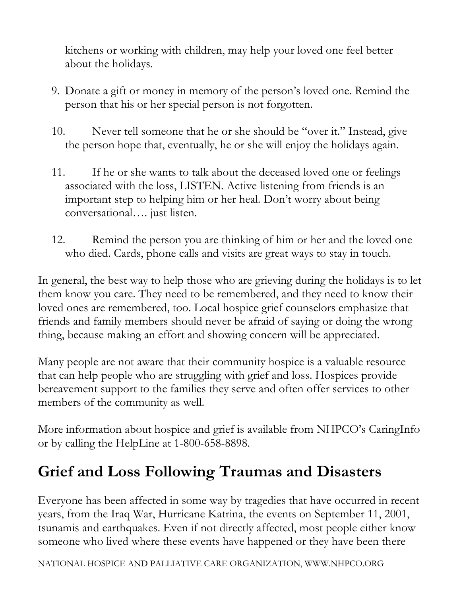kitchens or working with children, may help your loved one feel better about the holidays.

- 9. Donate a gift or money in memory of the person's loved one. Remind the person that his or her special person is not forgotten.
- 10. Never tell someone that he or she should be "over it." Instead, give the person hope that, eventually, he or she will enjoy the holidays again.
- 11. If he or she wants to talk about the deceased loved one or feelings associated with the loss, LISTEN. Active listening from friends is an important step to helping him or her heal. Don't worry about being conversational…. just listen.
- 12. Remind the person you are thinking of him or her and the loved one who died. Cards, phone calls and visits are great ways to stay in touch.

In general, the best way to help those who are grieving during the holidays is to let them know you care. They need to be remembered, and they need to know their loved ones are remembered, too. Local hospice grief counselors emphasize that friends and family members should never be afraid of saying or doing the wrong thing, because making an effort and showing concern will be appreciated.

Many people are not aware that their community hospice is a valuable resource that can help people who are struggling with grief and loss. Hospices provide bereavement support to the families they serve and often offer services to other members of the community as well.

More information about hospice and grief is available from NHPCO's CaringInfo or by calling the HelpLine at 1-800-658-8898.

#### **Grief and Loss Following Traumas and Disasters**

Everyone has been affected in some way by tragedies that have occurred in recent years, from the Iraq War, Hurricane Katrina, the events on September 11, 2001, tsunamis and earthquakes. Even if not directly affected, most people either know someone who lived where these events have happened or they have been there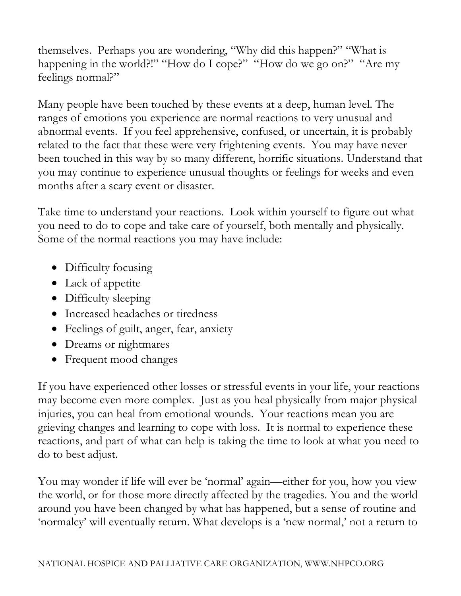themselves. Perhaps you are wondering, "Why did this happen?" "What is happening in the world?!" "How do I cope?" "How do we go on?" "Are my feelings normal?"

Many people have been touched by these events at a deep, human level. The ranges of emotions you experience are normal reactions to very unusual and abnormal events. If you feel apprehensive, confused, or uncertain, it is probably related to the fact that these were very frightening events. You may have never been touched in this way by so many different, horrific situations. Understand that you may continue to experience unusual thoughts or feelings for weeks and even months after a scary event or disaster.

Take time to understand your reactions. Look within yourself to figure out what you need to do to cope and take care of yourself, both mentally and physically. Some of the normal reactions you may have include:

- Difficulty focusing
- Lack of appetite
- Difficulty sleeping
- Increased headaches or tiredness
- Feelings of guilt, anger, fear, anxiety
- Dreams or nightmares
- Frequent mood changes

If you have experienced other losses or stressful events in your life, your reactions may become even more complex. Just as you heal physically from major physical injuries, you can heal from emotional wounds. Your reactions mean you are grieving changes and learning to cope with loss. It is normal to experience these reactions, and part of what can help is taking the time to look at what you need to do to best adjust.

You may wonder if life will ever be 'normal' again—either for you, how you view the world, or for those more directly affected by the tragedies. You and the world around you have been changed by what has happened, but a sense of routine and 'normalcy' will eventually return. What develops is a 'new normal,' not a return to